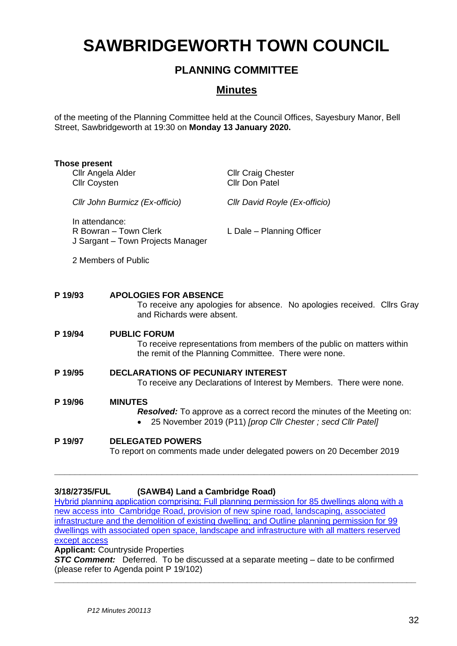# **SAWBRIDGEWORTH TOWN COUNCIL**

# **PLANNING COMMITTEE**

# **Minutes**

of the meeting of the Planning Committee held at the Council Offices, Sayesbury Manor, Bell Street, Sawbridgeworth at 19:30 on **Monday 13 January 2020.**

|         | Those present<br>Cllr Angela Alder<br><b>Cllr Coysten</b>                                                                                                                  |                                                           | <b>Cllr Craig Chester</b><br><b>Cllr Don Patel</b>                                                                               |
|---------|----------------------------------------------------------------------------------------------------------------------------------------------------------------------------|-----------------------------------------------------------|----------------------------------------------------------------------------------------------------------------------------------|
|         | Cllr John Burmicz (Ex-officio)                                                                                                                                             |                                                           | Cllr David Royle (Ex-officio)                                                                                                    |
|         | In attendance:<br>R Bowran - Town Clerk<br>J Sargant - Town Projects Manager                                                                                               |                                                           | L Dale - Planning Officer                                                                                                        |
|         |                                                                                                                                                                            | 2 Members of Public                                       |                                                                                                                                  |
|         | P 19/93                                                                                                                                                                    | <b>APOLOGIES FOR ABSENCE</b><br>and Richards were absent. | To receive any apologies for absence. No apologies received. Cllrs Gray                                                          |
|         | <b>PUBLIC FORUM</b><br>P 19/94                                                                                                                                             |                                                           | To receive representations from members of the public on matters within<br>the remit of the Planning Committee. There were none. |
|         | <b>DECLARATIONS OF PECUNIARY INTEREST</b><br>P 19/95<br>To receive any Declarations of Interest by Members. There were none.                                               |                                                           |                                                                                                                                  |
|         | P 19/96<br><b>MINUTES</b><br><b>Resolved:</b> To approve as a correct record the minutes of the Meeting on:<br>25 November 2019 (P11) [prop Cllr Chester; secd Cllr Patel] |                                                           |                                                                                                                                  |
| P 19/97 | <b>DELEGATED POWERS</b>                                                                                                                                                    |                                                           |                                                                                                                                  |

# To report on comments made under delegated powers on 20 December 2019

**\_\_\_\_\_\_\_\_\_\_\_\_\_\_\_\_\_\_\_\_\_\_\_\_\_\_\_\_\_\_\_\_\_\_\_\_\_\_\_\_\_\_\_\_\_\_\_\_\_\_\_\_\_\_\_\_\_\_\_\_\_\_\_\_\_\_\_\_\_\_\_**

#### **3/18/2735/FUL (SAWB4) Land a Cambridge Road)**

[Hybrid planning application comprising; Full planning permission for 85 dwellings along with a](https://publicaccess.eastherts.gov.uk/online-applications/applicationDetails.do?activeTab=documents&keyVal=PJQHW9GLH9700)  [new access into Cambridge Road, provision of new spine road, landscaping, associated](https://publicaccess.eastherts.gov.uk/online-applications/applicationDetails.do?activeTab=documents&keyVal=PJQHW9GLH9700)  [infrastructure and the demolition of existing dwelling; and Outline planning permission for 99](https://publicaccess.eastherts.gov.uk/online-applications/applicationDetails.do?activeTab=documents&keyVal=PJQHW9GLH9700)  [dwellings with associated open space, landscape and infrastructure with all matters reserved](https://publicaccess.eastherts.gov.uk/online-applications/applicationDetails.do?activeTab=documents&keyVal=PJQHW9GLH9700)  [except access](https://publicaccess.eastherts.gov.uk/online-applications/applicationDetails.do?activeTab=documents&keyVal=PJQHW9GLH9700) 

**Applicant:** Countryside Properties

**STC Comment:** Deferred. To be discussed at a separate meeting – date to be confirmed (please refer to Agenda point P 19/102)

**\_\_\_\_\_\_\_\_\_\_\_\_\_\_\_\_\_\_\_\_\_\_\_\_\_\_\_\_\_\_\_\_\_\_\_\_\_\_\_\_\_\_\_\_\_\_\_\_\_\_\_\_\_\_\_\_\_\_\_\_\_\_\_\_\_\_\_\_\_\_\_\_\_\_\_\_\_**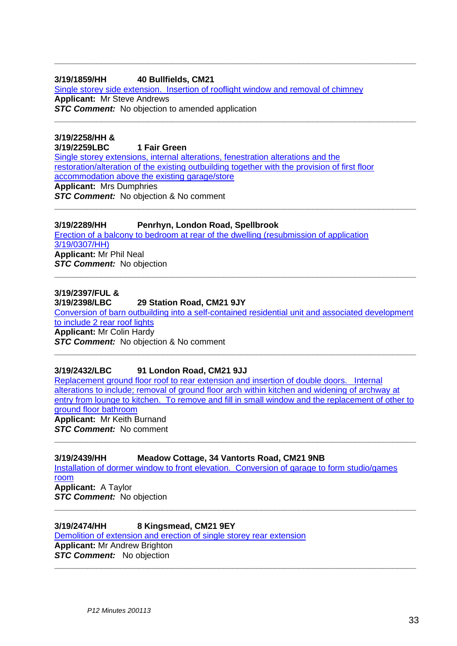#### **3/19/1859/HH 40 Bullfields, CM21** [Single storey side extension. Insertion of rooflight window and removal of chimney](https://publicaccess.eastherts.gov.uk/online-applications/applicationDetails.do?activeTab=documents&keyVal=PXNYPFGLL1H00) **Applicant:** Mr Steve Andrews **STC Comment:** No objection to amended application

**\_\_\_\_\_\_\_\_\_\_\_\_\_\_\_\_\_\_\_\_\_\_\_\_\_\_\_\_\_\_\_\_\_\_\_\_\_\_\_\_\_\_\_\_\_\_\_\_\_\_\_\_\_\_\_\_\_\_\_\_\_\_\_\_\_\_\_\_\_\_\_\_\_\_\_\_\_**

**\_\_\_\_\_\_\_\_\_\_\_\_\_\_\_\_\_\_\_\_\_\_\_\_\_\_\_\_\_\_\_\_\_\_\_\_\_\_\_\_\_\_\_\_\_\_\_\_\_\_\_\_\_\_\_\_\_\_\_\_\_\_\_\_\_\_\_\_\_\_\_\_\_\_\_\_\_**

**\_\_\_\_\_\_\_\_\_\_\_\_\_\_\_\_\_\_\_\_\_\_\_\_\_\_\_\_\_\_\_\_\_\_\_\_\_\_\_\_\_\_\_\_\_\_\_\_\_\_\_\_\_\_\_\_\_\_\_\_\_\_\_\_\_\_\_\_\_\_\_\_\_\_\_\_\_**

**3/19/2258/HH & 3/19/2259LBC 1 Fair Green** [Single storey extensions, internal alterations, fenestration alterations and the](https://publicaccess.eastherts.gov.uk/online-applications/applicationDetails.do?activeTab=documents&keyVal=Q0I77RGLLTD00)  [restoration/alteration of the existing outbuilding together with the provision of first floor](https://publicaccess.eastherts.gov.uk/online-applications/applicationDetails.do?activeTab=documents&keyVal=Q0I77RGLLTD00)  [accommodation above the existing garage/store](https://publicaccess.eastherts.gov.uk/online-applications/applicationDetails.do?activeTab=documents&keyVal=Q0I77RGLLTD00) **Applicant:** Mrs Dumphries *STC Comment:* No objection & No comment

# **3/19/2289/HH Penrhyn, London Road, Spellbrook** [Erection of a balcony to bedroom at rear of the dwelling \(resubmission of application](https://publicaccess.eastherts.gov.uk/online-applications/applicationDetails.do?activeTab=documents&keyVal=Q0SOXMGLLVT00)  [3/19/0307/HH\)](https://publicaccess.eastherts.gov.uk/online-applications/applicationDetails.do?activeTab=documents&keyVal=Q0SOXMGLLVT00)

**Applicant:** Mr Phil Neal **STC Comment:** No objection

# **3/19/2397/FUL &**

## **3/19/2398/LBC 29 Station Road, CM21 9JY**

[Conversion of barn outbuilding into a self-contained residential unit and associated development](https://publicaccess.eastherts.gov.uk/online-applications/applicationDetails.do?activeTab=documents&keyVal=Q1KS3IGLM3V00)  [to include 2 rear roof lights](https://publicaccess.eastherts.gov.uk/online-applications/applicationDetails.do?activeTab=documents&keyVal=Q1KS3IGLM3V00) **Applicant:** Mr Colin Hardy *STC Comment:* No objection & No comment

**\_\_\_\_\_\_\_\_\_\_\_\_\_\_\_\_\_\_\_\_\_\_\_\_\_\_\_\_\_\_\_\_\_\_\_\_\_\_\_\_\_\_\_\_\_\_\_\_\_\_\_\_\_\_\_\_\_\_\_\_\_\_\_\_\_\_\_\_\_\_\_\_\_\_\_\_\_**

**\_\_\_\_\_\_\_\_\_\_\_\_\_\_\_\_\_\_\_\_\_\_\_\_\_\_\_\_\_\_\_\_\_\_\_\_\_\_\_\_\_\_\_\_\_\_\_\_\_\_\_\_\_\_\_\_\_\_\_\_\_\_\_\_\_\_\_\_\_\_\_\_\_\_\_\_\_**

# **3/19/2432/LBC 91 London Road, CM21 9JJ**

[Replacement ground floor roof to rear extension and insertion of double doors. Internal](https://publicaccess.eastherts.gov.uk/online-applications/applicationDetails.do?activeTab=documents&keyVal=Q1Q0ZMGLM6800)  [alterations to include; removal of ground floor arch within kitchen and widening of archway at](https://publicaccess.eastherts.gov.uk/online-applications/applicationDetails.do?activeTab=documents&keyVal=Q1Q0ZMGLM6800)  [entry from lounge to kitchen. To remove and fill in small window and the replacement of other to](https://publicaccess.eastherts.gov.uk/online-applications/applicationDetails.do?activeTab=documents&keyVal=Q1Q0ZMGLM6800)  [ground floor bathroom](https://publicaccess.eastherts.gov.uk/online-applications/applicationDetails.do?activeTab=documents&keyVal=Q1Q0ZMGLM6800) **Applicant:** Mr Keith Burnand *STC Comment:* No comment **\_\_\_\_\_\_\_\_\_\_\_\_\_\_\_\_\_\_\_\_\_\_\_\_\_\_\_\_\_\_\_\_\_\_\_\_\_\_\_\_\_\_\_\_\_\_\_\_\_\_\_\_\_\_\_\_\_\_\_\_\_\_\_\_\_\_\_\_\_\_\_\_\_\_\_\_\_**

**\_\_\_\_\_\_\_\_\_\_\_\_\_\_\_\_\_\_\_\_\_\_\_\_\_\_\_\_\_\_\_\_\_\_\_\_\_\_\_\_\_\_\_\_\_\_\_\_\_\_\_\_\_\_\_\_\_\_\_\_\_\_\_\_\_\_\_\_\_\_\_\_\_\_\_\_\_**

**\_\_\_\_\_\_\_\_\_\_\_\_\_\_\_\_\_\_\_\_\_\_\_\_\_\_\_\_\_\_\_\_\_\_\_\_\_\_\_\_\_\_\_\_\_\_\_\_\_\_\_\_\_\_\_\_\_\_\_\_\_\_\_\_\_\_\_\_\_\_\_\_\_\_\_\_\_**

#### **3/19/2439/HH Meadow Cottage, 34 Vantorts Road, CM21 9NB** [Installation of dormer window to front elevation. Conversion of garage to form studio/games](https://publicaccess.eastherts.gov.uk/online-applications/applicationDetails.do?activeTab=documents&keyVal=Q1QC2EGLM6M00)  [room](https://publicaccess.eastherts.gov.uk/online-applications/applicationDetails.do?activeTab=documents&keyVal=Q1QC2EGLM6M00)

**Applicant:** A Taylor **STC Comment:** No objection

# **3/19/2474/HH 8 Kingsmead, CM21 9EY**

[Demolition of extension and erection of single storey rear extension](https://publicaccess.eastherts.gov.uk/online-applications/applicationDetails.do?activeTab=documents&keyVal=Q21514GLM9700) **Applicant:** Mr Andrew Brighton **STC Comment:** No objection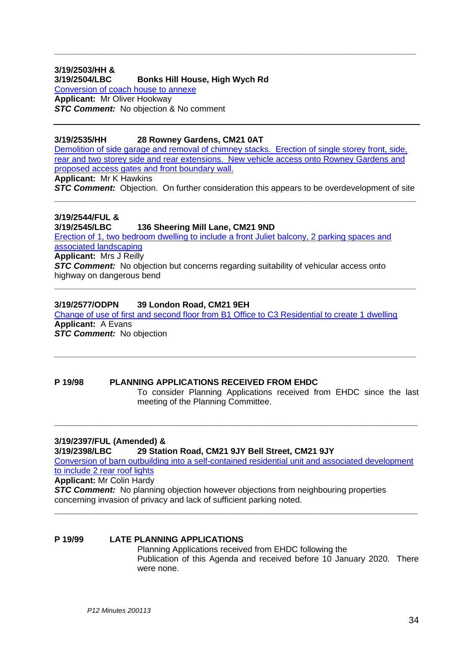#### **3/19/2503/HH & 3/19/2504/LBC Bonks Hill House, High Wych Rd** [Conversion of coach house to annexe](https://publicaccess.eastherts.gov.uk/online-applications/applicationDetails.do?activeTab=documents&keyVal=Q2AE9FGLMB700) **Applicant:** Mr Oliver Hookway **STC Comment:** No objection & No comment

#### **3/19/2535/HH 28 Rowney Gardens, CM21 0AT**

[Demolition of side garage and removal of chimney](https://publicaccess.eastherts.gov.uk/online-applications/applicationDetails.do?activeTab=documents&keyVal=Q2G52VGL00X00) stacks. Erection of single storey front, side, [rear and two storey side and rear extensions. New vehicle access onto Rowney Gardens and](https://publicaccess.eastherts.gov.uk/online-applications/applicationDetails.do?activeTab=documents&keyVal=Q2G52VGL00X00)  [proposed access gates and front boundary wall.](https://publicaccess.eastherts.gov.uk/online-applications/applicationDetails.do?activeTab=documents&keyVal=Q2G52VGL00X00)

**\_\_\_\_\_\_\_\_\_\_\_\_\_\_\_\_\_\_\_\_\_\_\_\_\_\_\_\_\_\_\_\_\_\_\_\_\_\_\_\_\_\_\_\_\_\_\_\_\_\_\_\_\_\_\_\_\_\_\_\_\_\_\_\_\_\_\_\_\_\_\_\_\_\_\_\_\_**

**Applicant:** Mr K Hawkins

**STC Comment:** Objection. On further consideration this appears to be overdevelopment of site **\_\_\_\_\_\_\_\_\_\_\_\_\_\_\_\_\_\_\_\_\_\_\_\_\_\_\_\_\_\_\_\_\_\_\_\_\_\_\_\_\_\_\_\_\_\_\_\_\_\_\_\_\_\_\_\_\_\_\_\_\_\_\_\_\_\_\_\_\_\_\_\_\_\_\_\_\_**

# **3/19/2544/FUL &**

#### **3/19/2545/LBC 136 Sheering Mill Lane, CM21 9ND**

[Erection of 1, two bedroom dwelling to include a front Juliet balcony, 2 parking spaces and](https://publicaccess.eastherts.gov.uk/online-applications/applicationDetails.do?activeTab=documents&keyVal=Q2GKLCGLME200)  [associated landscaping](https://publicaccess.eastherts.gov.uk/online-applications/applicationDetails.do?activeTab=documents&keyVal=Q2GKLCGLME200) **Applicant:** Mrs J Reilly

**STC Comment:** No objection but concerns regarding suitability of vehicular access onto highway on dangerous bend

#### **3/19/2577/ODPN 39 London Road, CM21 9EH**

[Change of use of first and second floor from B1 Office to C3 Residential to create 1 dwelling](https://publicaccess.eastherts.gov.uk/online-applications/applicationDetails.do?activeTab=documents&keyVal=Q2PET6GL00X00) **Applicant:** A Evans **STC Comment:** No objection

**\_\_\_\_\_\_\_\_\_\_\_\_\_\_\_\_\_\_\_\_\_\_\_\_\_\_\_\_\_\_\_\_\_\_\_\_\_\_\_\_\_\_\_\_\_\_\_\_\_\_\_\_\_\_\_\_\_\_\_\_\_\_\_\_\_\_\_\_\_\_\_\_\_\_\_\_\_**

**P 19/98 PLANNING APPLICATIONS RECEIVED FROM EHDC** To consider Planning Applications received from EHDC since the last meeting of the Planning Committee.

**\_\_\_\_\_\_\_\_\_\_\_\_\_\_\_\_\_\_\_\_\_\_\_\_\_\_\_\_\_\_\_\_\_\_\_\_\_\_\_\_\_\_\_\_\_\_\_\_\_\_\_\_\_\_\_\_\_\_\_\_\_\_\_\_\_\_\_\_\_\_\_**

**\_\_\_\_\_\_\_\_\_\_\_\_\_\_\_\_\_\_\_\_\_\_\_\_\_\_\_\_\_\_\_\_\_\_\_\_\_\_\_\_\_\_\_\_\_\_\_\_\_\_\_\_\_\_\_\_\_\_\_\_\_\_\_\_\_\_\_\_\_\_\_\_\_\_\_\_\_**

#### **3/19/2397/FUL (Amended) &**

**3/19/2398/LBC 29 Station Road, CM21 9JY Bell Street, CM21 9JY**

[Conversion of barn outbuilding into a self-contained residential unit and associated development](https://publicaccess.eastherts.gov.uk/online-applications/applicationDetails.do?activeTab=documents&keyVal=Q1KS3IGLM3V00)  [to include 2 rear roof lights](https://publicaccess.eastherts.gov.uk/online-applications/applicationDetails.do?activeTab=documents&keyVal=Q1KS3IGLM3V00)

**\_\_\_\_\_\_\_\_\_\_\_\_\_\_\_\_\_\_\_\_\_\_\_\_\_\_\_\_\_\_\_\_\_\_\_\_\_\_\_\_\_\_\_\_\_\_\_\_\_\_\_\_\_\_\_\_\_\_\_\_\_\_\_\_\_\_\_\_\_\_\_**

**Applicant:** Mr Colin Hardy

**STC Comment:** No planning objection however objections from neighbouring properties concerning invasion of privacy and lack of sufficient parking noted.

#### **P 19/99 LATE PLANNING APPLICATIONS**

Planning Applications received from EHDC following the Publication of this Agenda and received before 10 January 2020. There were none.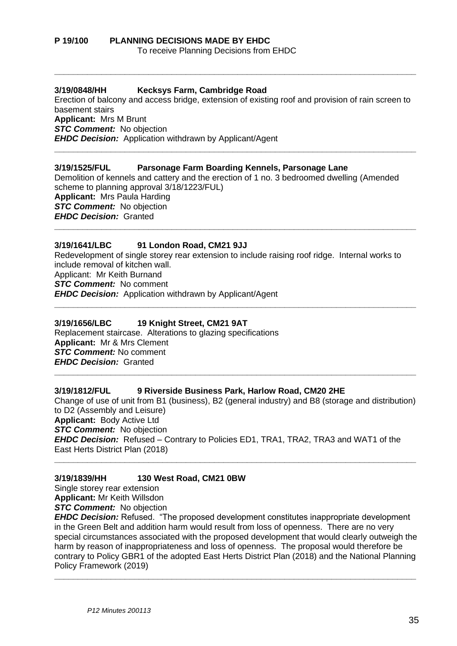#### **3/19/0848/HH Kecksys Farm, Cambridge Road**

Erection of balcony and access bridge, extension of existing roof and provision of rain screen to basement stairs **Applicant:** Mrs M Brunt *STC Comment:* No objection *EHDC Decision:* Application withdrawn by Applicant/Agent **\_\_\_\_\_\_\_\_\_\_\_\_\_\_\_\_\_\_\_\_\_\_\_\_\_\_\_\_\_\_\_\_\_\_\_\_\_\_\_\_\_\_\_\_\_\_\_\_\_\_\_\_\_\_\_\_\_\_\_\_\_\_\_\_\_\_\_\_\_\_\_\_\_\_\_\_\_**

**\_\_\_\_\_\_\_\_\_\_\_\_\_\_\_\_\_\_\_\_\_\_\_\_\_\_\_\_\_\_\_\_\_\_\_\_\_\_\_\_\_\_\_\_\_\_\_\_\_\_\_\_\_\_\_\_\_\_\_\_\_\_\_\_\_\_\_\_\_\_\_\_\_\_\_\_\_**

#### **3/19/1525/FUL Parsonage Farm Boarding Kennels, Parsonage Lane**

Demolition of kennels and cattery and the erection of 1 no. 3 bedroomed dwelling (Amended scheme to planning approval 3/18/1223/FUL) **Applicant:** Mrs Paula Harding *STC Comment:* No objection *EHDC Decision:* Granted

**\_\_\_\_\_\_\_\_\_\_\_\_\_\_\_\_\_\_\_\_\_\_\_\_\_\_\_\_\_\_\_\_\_\_\_\_\_\_\_\_\_\_\_\_\_\_\_\_\_\_\_\_\_\_\_\_\_\_\_\_\_\_\_\_\_\_\_\_\_\_\_\_\_\_\_\_\_**

#### **3/19/1641/LBC 91 London Road, CM21 9JJ**

Redevelopment of single storey rear extension to include raising roof ridge. Internal works to include removal of kitchen wall. Applicant: Mr Keith Burnand *STC Comment:* No comment *EHDC Decision:* Application withdrawn by Applicant/Agent

**\_\_\_\_\_\_\_\_\_\_\_\_\_\_\_\_\_\_\_\_\_\_\_\_\_\_\_\_\_\_\_\_\_\_\_\_\_\_\_\_\_\_\_\_\_\_\_\_\_\_\_\_\_\_\_\_\_\_\_\_\_\_\_\_\_\_\_\_\_\_\_\_\_\_\_\_\_**

#### **3/19/1656/LBC 19 Knight Street, CM21 9AT**

Replacement staircase. Alterations to glazing specifications **Applicant:** Mr & Mrs Clement *STC Comment:* No comment *EHDC Decision:* Granted

#### **3/19/1812/FUL 9 Riverside Business Park, Harlow Road, CM20 2HE**

Change of use of unit from B1 (business), B2 (general industry) and B8 (storage and distribution) to D2 (Assembly and Leisure) **Applicant:** Body Active Ltd *STC Comment:* No objection *EHDC Decision:* Refused – Contrary to Policies ED1, TRA1, TRA2, TRA3 and WAT1 of the East Herts District Plan (2018) **\_\_\_\_\_\_\_\_\_\_\_\_\_\_\_\_\_\_\_\_\_\_\_\_\_\_\_\_\_\_\_\_\_\_\_\_\_\_\_\_\_\_\_\_\_\_\_\_\_\_\_\_\_\_\_\_\_\_\_\_\_\_\_\_\_\_\_\_\_\_\_\_\_\_\_\_\_**

**\_\_\_\_\_\_\_\_\_\_\_\_\_\_\_\_\_\_\_\_\_\_\_\_\_\_\_\_\_\_\_\_\_\_\_\_\_\_\_\_\_\_\_\_\_\_\_\_\_\_\_\_\_\_\_\_\_\_\_\_\_\_\_\_\_\_\_\_\_\_\_\_\_\_\_\_\_**

#### **3/19/1839/HH 130 West Road, CM21 0BW**

Single storey rear extension **Applicant:** Mr Keith Willsdon

**STC Comment:** No objection

*EHDC Decision:* Refused. "The proposed development constitutes inappropriate development in the Green Belt and addition harm would result from loss of openness. There are no very special circumstances associated with the proposed development that would clearly outweigh the harm by reason of inappropriateness and loss of openness. The proposal would therefore be contrary to Policy GBR1 of the adopted East Herts District Plan (2018) and the National Planning Policy Framework (2019)

**\_\_\_\_\_\_\_\_\_\_\_\_\_\_\_\_\_\_\_\_\_\_\_\_\_\_\_\_\_\_\_\_\_\_\_\_\_\_\_\_\_\_\_\_\_\_\_\_\_\_\_\_\_\_\_\_\_\_\_\_\_\_\_\_\_\_\_\_\_\_\_\_\_\_\_\_\_**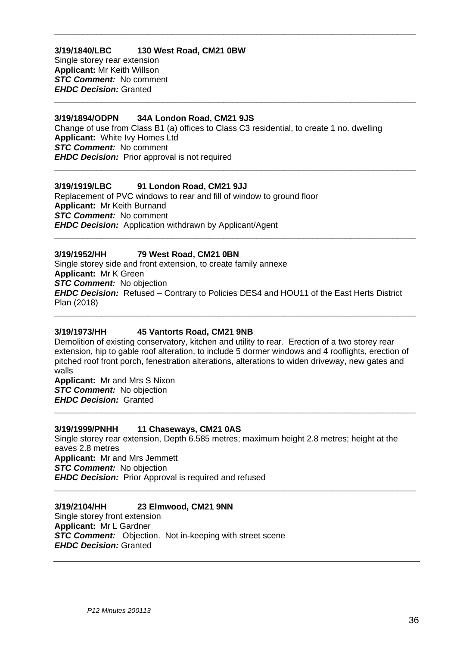#### **3/19/1840/LBC 130 West Road, CM21 0BW** Single storey rear extension **Applicant:** Mr Keith Willson *STC Comment:* No comment

*EHDC Decision:* Granted **\_\_\_\_\_\_\_\_\_\_\_\_\_\_\_\_\_\_\_\_\_\_\_\_\_\_\_\_\_\_\_\_\_\_\_\_\_\_\_\_\_\_\_\_\_\_\_\_\_\_\_\_\_\_\_\_\_\_\_\_\_\_\_\_\_\_\_\_\_\_\_\_\_\_\_\_\_**

#### **3/19/1894/ODPN 34A London Road, CM21 9JS**

Change of use from Class B1 (a) offices to Class C3 residential, to create 1 no. dwelling **Applicant:** White Ivy Homes Ltd *STC Comment:* No comment *EHDC Decision:* Prior approval is not required

**\_\_\_\_\_\_\_\_\_\_\_\_\_\_\_\_\_\_\_\_\_\_\_\_\_\_\_\_\_\_\_\_\_\_\_\_\_\_\_\_\_\_\_\_\_\_\_\_\_\_\_\_\_\_\_\_\_\_\_\_\_\_\_\_\_\_\_\_\_\_\_\_\_\_\_\_\_**

**\_\_\_\_\_\_\_\_\_\_\_\_\_\_\_\_\_\_\_\_\_\_\_\_\_\_\_\_\_\_\_\_\_\_\_\_\_\_\_\_\_\_\_\_\_\_\_\_\_\_\_\_\_\_\_\_\_\_\_\_\_\_\_\_\_\_\_\_\_\_\_\_\_\_\_\_\_**

## **3/19/1919/LBC 91 London Road, CM21 9JJ**

Replacement of PVC windows to rear and fill of window to ground floor **Applicant:** Mr Keith Burnand *STC Comment:* No comment *EHDC Decision:* Application withdrawn by Applicant/Agent **\_\_\_\_\_\_\_\_\_\_\_\_\_\_\_\_\_\_\_\_\_\_\_\_\_\_\_\_\_\_\_\_\_\_\_\_\_\_\_\_\_\_\_\_\_\_\_\_\_\_\_\_\_\_\_\_\_\_\_\_\_\_\_\_\_\_\_\_\_\_\_\_\_\_\_\_\_**

## **3/19/1952/HH 79 West Road, CM21 0BN**

Single storey side and front extension, to create family annexe **Applicant:** Mr K Green **STC Comment:** No objection *EHDC Decision:* Refused – Contrary to Policies DES4 and HOU11 of the East Herts District Plan (2018)

#### **3/19/1973/HH 45 Vantorts Road, CM21 9NB**

Demolition of existing conservatory, kitchen and utility to rear. Erection of a two storey rear extension, hip to gable roof alteration, to include 5 dormer windows and 4 rooflights, erection of pitched roof front porch, fenestration alterations, alterations to widen driveway, new gates and walls

**\_\_\_\_\_\_\_\_\_\_\_\_\_\_\_\_\_\_\_\_\_\_\_\_\_\_\_\_\_\_\_\_\_\_\_\_\_\_\_\_\_\_\_\_\_\_\_\_\_\_\_\_\_\_\_\_\_\_\_\_\_\_\_\_\_\_\_\_\_\_\_\_\_\_\_\_\_**

**\_\_\_\_\_\_\_\_\_\_\_\_\_\_\_\_\_\_\_\_\_\_\_\_\_\_\_\_\_\_\_\_\_\_\_\_\_\_\_\_\_\_\_\_\_\_\_\_\_\_\_\_\_\_\_\_\_\_\_\_\_\_\_\_\_\_\_\_\_\_\_\_\_\_\_\_\_**

**Applicant:** Mr and Mrs S Nixon **STC Comment:** No objection *EHDC Decision:* Granted

#### **3/19/1999/PNHH 11 Chaseways, CM21 0AS**

Single storey rear extension, Depth 6.585 metres; maximum height 2.8 metres; height at the eaves 2.8 metres **Applicant:** Mr and Mrs Jemmett *STC Comment:* No objection *EHDC Decision:* Prior Approval is required and refused **\_\_\_\_\_\_\_\_\_\_\_\_\_\_\_\_\_\_\_\_\_\_\_\_\_\_\_\_\_\_\_\_\_\_\_\_\_\_\_\_\_\_\_\_\_\_\_\_\_\_\_\_\_\_\_\_\_\_\_\_\_\_\_\_\_\_\_\_\_\_\_\_\_\_\_\_\_**

# **3/19/2104/HH 23 Elmwood, CM21 9NN**

Single storey front extension **Applicant:** Mr L Gardner *STC Comment:* Objection. Not in-keeping with street scene *EHDC Decision:* Granted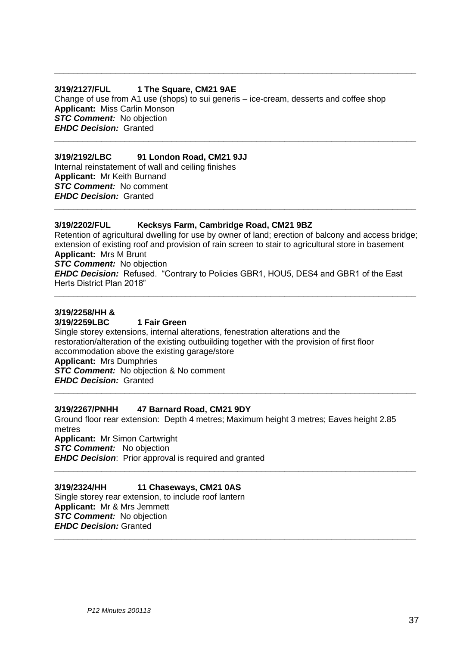#### **3/19/2127/FUL 1 The Square, CM21 9AE**

Change of use from A1 use (shops) to sui generis – ice-cream, desserts and coffee shop **Applicant:** Miss Carlin Monson *STC Comment:* No objection *EHDC Decision:* Granted **\_\_\_\_\_\_\_\_\_\_\_\_\_\_\_\_\_\_\_\_\_\_\_\_\_\_\_\_\_\_\_\_\_\_\_\_\_\_\_\_\_\_\_\_\_\_\_\_\_\_\_\_\_\_\_\_\_\_\_\_\_\_\_\_\_\_\_\_\_\_\_\_\_\_\_\_\_**

**\_\_\_\_\_\_\_\_\_\_\_\_\_\_\_\_\_\_\_\_\_\_\_\_\_\_\_\_\_\_\_\_\_\_\_\_\_\_\_\_\_\_\_\_\_\_\_\_\_\_\_\_\_\_\_\_\_\_\_\_\_\_\_\_\_\_\_\_\_\_\_\_\_\_\_\_\_**

# **3/19/2192/LBC 91 London Road, CM21 9JJ**

Internal reinstatement of wall and ceiling finishes **Applicant:** Mr Keith Burnand *STC Comment:* No comment *EHDC Decision:* Granted

#### **3/19/2202/FUL Kecksys Farm, Cambridge Road, CM21 9BZ**

Retention of agricultural dwelling for use by owner of land; erection of balcony and access bridge; extension of existing roof and provision of rain screen to stair to agricultural store in basement **Applicant:** Mrs M Brunt

**\_\_\_\_\_\_\_\_\_\_\_\_\_\_\_\_\_\_\_\_\_\_\_\_\_\_\_\_\_\_\_\_\_\_\_\_\_\_\_\_\_\_\_\_\_\_\_\_\_\_\_\_\_\_\_\_\_\_\_\_\_\_\_\_\_\_\_\_\_\_\_\_\_\_\_\_\_**

*STC Comment:* No objection

*EHDC Decision:* Refused. "Contrary to Policies GBR1, HOU5, DES4 and GBR1 of the East Herts District Plan 2018"

**\_\_\_\_\_\_\_\_\_\_\_\_\_\_\_\_\_\_\_\_\_\_\_\_\_\_\_\_\_\_\_\_\_\_\_\_\_\_\_\_\_\_\_\_\_\_\_\_\_\_\_\_\_\_\_\_\_\_\_\_\_\_\_\_\_\_\_\_\_\_\_\_\_\_\_\_\_**

#### **3/19/2258/HH &**

#### **3/19/2259LBC 1 Fair Green**

Single storey extensions, internal alterations, fenestration alterations and the restoration/alteration of the existing outbuilding together with the provision of first floor accommodation above the existing garage/store **Applicant:** Mrs Dumphries **STC Comment:** No objection & No comment

*EHDC Decision:* Granted

#### **3/19/2267/PNHH 47 Barnard Road, CM21 9DY**

Ground floor rear extension: Depth 4 metres; Maximum height 3 metres; Eaves height 2.85 metres **Applicant:** Mr Simon Cartwright **STC Comment:** No objection

**\_\_\_\_\_\_\_\_\_\_\_\_\_\_\_\_\_\_\_\_\_\_\_\_\_\_\_\_\_\_\_\_\_\_\_\_\_\_\_\_\_\_\_\_\_\_\_\_\_\_\_\_\_\_\_\_\_\_\_\_\_\_\_\_\_\_\_\_\_\_\_\_\_\_\_\_\_**

**\_\_\_\_\_\_\_\_\_\_\_\_\_\_\_\_\_\_\_\_\_\_\_\_\_\_\_\_\_\_\_\_\_\_\_\_\_\_\_\_\_\_\_\_\_\_\_\_\_\_\_\_\_\_\_\_\_\_\_\_\_\_\_\_\_\_\_\_\_\_\_\_\_\_\_\_\_**

**\_\_\_\_\_\_\_\_\_\_\_\_\_\_\_\_\_\_\_\_\_\_\_\_\_\_\_\_\_\_\_\_\_\_\_\_\_\_\_\_\_\_\_\_\_\_\_\_\_\_\_\_\_\_\_\_\_\_\_\_\_\_\_\_\_\_\_\_\_\_\_\_\_\_\_\_\_**

*EHDC Decision*: Prior approval is required and granted

**3/19/2324/HH 11 Chaseways, CM21 0AS** Single storey rear extension, to include roof lantern **Applicant:** Mr & Mrs Jemmett *STC Comment:* No objection *EHDC Decision:* Granted